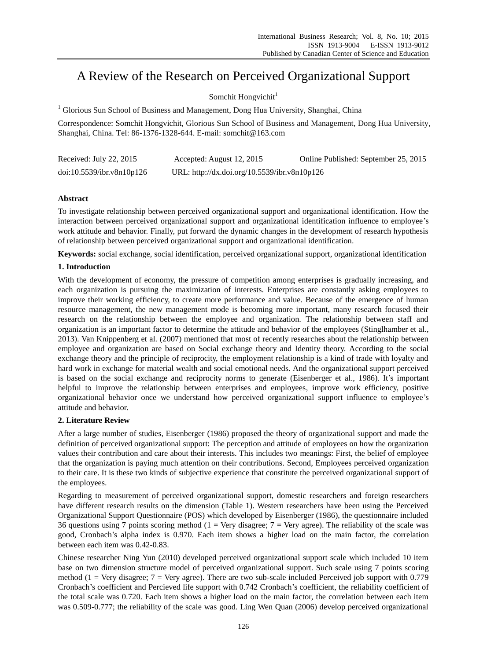# A Review of the Research on Perceived Organizational Support

Somchit Hongvichit<sup>1</sup>

<sup>1</sup> Glorious Sun School of Business and Management, Dong Hua University, Shanghai, China

Correspondence: Somchit Hongvichit, Glorious Sun School of Business and Management, Dong Hua University, Shanghai, China. Tel: 86-1376-1328-644. E-mail: [somchit@163.com](mailto:somchit@163.com)

| Received: July 22, 2015   | Accepted: August 12, 2015                    | Online Published: September 25, 2015 |
|---------------------------|----------------------------------------------|--------------------------------------|
| doi:10.5539/ibr.v8n10p126 | URL: http://dx.doi.org/10.5539/ibr.v8n10p126 |                                      |

# **Abstract**

To investigate relationship between perceived organizational support and organizational identification. How the interaction between perceived organizational support and organizational identification influence to employee's work attitude and behavior. Finally, put forward the dynamic changes in the development of research hypothesis of relationship between perceived organizational support and organizational identification.

**Keywords:** social exchange, social identification, perceived organizational support, organizational identification

# **1. Introduction**

With the development of economy, the pressure of competition among enterprises is gradually increasing, and each organization is pursuing the maximization of interests. Enterprises are constantly asking employees to improve their working efficiency, to create more performance and value. Because of the emergence of human resource management, the new management mode is becoming more important, many research focused their research on the relationship between the employee and organization. The relationship between staff and organization is an important factor to determine the attitude and behavior of the employees (Stinglhamber et al., 2013). Van Knippenberg et al. (2007) mentioned that most of recently researches about the relationship between employee and organization are based on Social exchange theory and Identity theory. According to the social exchange theory and the principle of reciprocity, the employment relationship is a kind of trade with loyalty and hard work in exchange for material wealth and social emotional needs. And the organizational support perceived is based on the social exchange and reciprocity norms to generate (Eisenberger et al., 1986). It's important helpful to improve the relationship between enterprises and employees, improve work efficiency, positive organizational behavior once we understand how perceived organizational support influence to employee's attitude and behavior.

# **2. Literature Review**

After a large number of studies, Eisenberger (1986) proposed the theory of organizational support and made the definition of perceived organizational support: The perception and attitude of employees on how the organization values their contribution and care about their interests. This includes two meanings: First, the belief of employee that the organization is paying much attention on their contributions. Second, Employees perceived organization to their care. It is these two kinds of subjective experience that constitute the perceived organizational support of the employees.

Regarding to measurement of perceived organizational support, domestic researchers and foreign researchers have different research results on the dimension (Table 1). Western researchers have been using the Perceived Organizational Support Questionnaire (POS) which developed by Eisenberger (1986), the questionnaire included 36 questions using 7 points scoring method (1 = Very disagree;  $7$  = Very agree). The reliability of the scale was good, Cronbach's alpha index is 0.970. Each item shows a higher load on the main factor, the correlation between each item was 0.42-0.83.

Chinese researcher Ning Yun (2010) developed perceived organizational support scale which included 10 item base on two dimension structure model of perceived organizational support. Such scale using 7 points scoring method (1 = Very disagree; 7 = Very agree). There are two sub-scale included Perceived job support with 0.779 Cronbach's coefficient and Percieved life support with 0.742 Cronbach's coefficient, the reliability coefficient of the total scale was 0.720. Each item shows a higher load on the main factor, the correlation between each item was 0.509-0.777; the reliability of the scale was good. Ling Wen Quan (2006) develop perceived organizational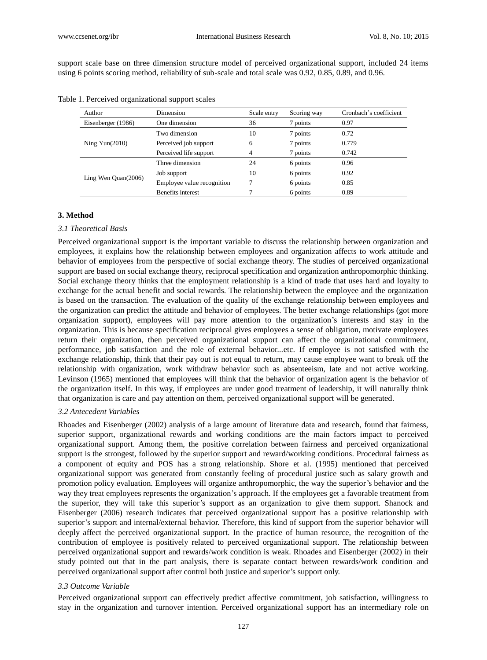support scale base on three dimension structure model of perceived organizational support, included 24 items using 6 points scoring method, reliability of sub-scale and total scale was 0.92, 0.85, 0.89, and 0.96.

| Author                | Dimension                  | Scale entry | Scoring way | Cronbach's coefficient |
|-----------------------|----------------------------|-------------|-------------|------------------------|
| Eisenberger (1986)    | One dimension              | 36          | 7 points    | 0.97                   |
| Ning $Yun(2010)$      | Two dimension              | 10          | 7 points    | 0.72                   |
|                       | Perceived job support      | 6           | 7 points    | 0.779                  |
|                       | Perceived life support     | 4           | 7 points    | 0.742                  |
| Ling Wen $Quan(2006)$ | Three dimension            | 24          | 6 points    | 0.96                   |
|                       | Job support                | 10          | 6 points    | 0.92                   |
|                       | Employee value recognition |             | 6 points    | 0.85                   |
|                       | Benefits interest          |             | 6 points    | 0.89                   |

## **3. Method**

#### *3.1 Theoretical Basis*

Perceived organizational support is the important variable to discuss the relationship between organization and employees, it explains how the relationship between employees and organization affects to work attitude and behavior of employees from the perspective of social exchange theory. The studies of perceived organizational support are based on social exchange theory, reciprocal specification and organization anthropomorphic thinking. Social exchange theory thinks that the employment relationship is a kind of trade that uses hard and loyalty to exchange for the actual benefit and social rewards. The relationship between the employee and the organization is based on the transaction. The evaluation of the quality of the exchange relationship between employees and the organization can predict the attitude and behavior of employees. The better exchange relationships (got more organization support), employees will pay more attention to the organization's interests and stay in the organization. This is because specification reciprocal gives employees a sense of obligation, motivate employees return their organization, then perceived organizational support can affect the organizational commitment, performance, job satisfaction and the role of external behavior...etc. If employee is not satisfied with the exchange relationship, think that their pay out is not equal to return, may cause employee want to break off the relationship with organization, work withdraw behavior such as absenteeism, late and not active working. Levinson (1965) mentioned that employees will think that the behavior of organization agent is the behavior of the organization itself. In this way, if employees are under good treatment of leadership, it will naturally think that organization is care and pay attention on them, perceived organizational support will be generated.

### *3.2 Antecedent Variables*

Rhoades and Eisenberger (2002) analysis of a large amount of literature data and research, found that fairness, superior support, organizational rewards and working conditions are the main factors impact to perceived organizational support. Among them, the positive correlation between fairness and perceived organizational support is the strongest, followed by the superior support and reward/working conditions. Procedural fairness as a component of equity and POS has a strong relationship. Shore et al. (1995) mentioned that perceived organizational support was generated from constantly feeling of procedural justice such as salary growth and promotion policy evaluation. Employees will organize anthropomorphic, the way the superior's behavior and the way they treat employees represents the organization's approach. If the employees get a favorable treatment from the superior, they will take this superior's support as an organization to give them support. Shanock and Eisenberger (2006) research indicates that perceived organizational support has a positive relationship with superior's support and internal/external behavior. Therefore, this kind of support from the superior behavior will deeply affect the perceived organizational support. In the practice of human resource, the recognition of the contribution of employee is positively related to perceived organizational support. The relationship between perceived organizational support and rewards/work condition is weak. Rhoades and Eisenberger (2002) in their study pointed out that in the part analysis, there is separate contact between rewards/work condition and perceived organizational support after control both justice and superior's support only.

## *3.3 Outcome Variable*

Perceived organizational support can effectively predict affective commitment, job satisfaction, willingness to stay in the organization and turnover intention. Perceived organizational support has an intermediary role on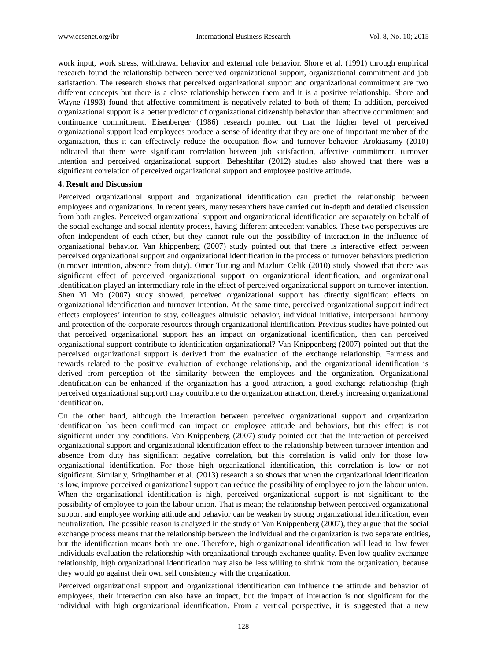work input, work stress, withdrawal behavior and external role behavior. Shore et al. (1991) through empirical research found the relationship between perceived organizational support, organizational commitment and job satisfaction. The research shows that perceived organizational support and organizational commitment are two different concepts but there is a close relationship between them and it is a positive relationship. Shore and Wayne (1993) found that affective commitment is negatively related to both of them; In addition, perceived organizational support is a better predictor of organizational citizenship behavior than affective commitment and continuance commitment. Eisenberger (1986) research pointed out that the higher level of perceived organizational support lead employees produce a sense of identity that they are one of important member of the organization, thus it can effectively reduce the occupation flow and turnover behavior. Arokiasamy (2010) indicated that there were significant correlation between job satisfaction, affective commitment, turnover intention and perceived organizational support. Beheshtifar (2012) studies also showed that there was a significant correlation of perceived organizational support and employee positive attitude.

#### **4. Result and Discussion**

Perceived organizational support and organizational identification can predict the relationship between employees and organizations. In recent years, many researchers have carried out in-depth and detailed discussion from both angles. Perceived organizational support and organizational identification are separately on behalf of the social exchange and social identity process, having different antecedent variables. These two perspectives are often independent of each other, but they cannot rule out the possibility of interaction in the influence of organizational behavior. Van khippenberg (2007) study pointed out that there is interactive effect between perceived organizational support and organizational identification in the process of turnover behaviors prediction (turnover intention, absence from duty). Omer Turung and Mazlum Celik (2010) study showed that there was significant effect of perceived organizational support on organizational identification, and organizational identification played an intermediary role in the effect of perceived organizational support on turnover intention. Shen Yi Mo (2007) study showed, perceived organizational support has directly significant effects on organizational identification and turnover intention. At the same time, perceived organizational support indirect effects employees' intention to stay, colleagues altruistic behavior, individual initiative, interpersonal harmony and protection of the corporate resources through organizational identification. Previous studies have pointed out that perceived organizational support has an impact on organizational identification, then can perceived organizational support contribute to identification organizational? Van Knippenberg (2007) pointed out that the perceived organizational support is derived from the evaluation of the exchange relationship. Fairness and rewards related to the positive evaluation of exchange relationship, and the organizational identification is derived from perception of the similarity between the employees and the organization. Organizational identification can be enhanced if the organization has a good attraction, a good exchange relationship (high perceived organizational support) may contribute to the organization attraction, thereby increasing organizational identification.

On the other hand, although the interaction between perceived organizational support and organization identification has been confirmed can impact on employee attitude and behaviors, but this effect is not significant under any conditions. Van Knippenberg (2007) study pointed out that the interaction of perceived organizational support and organizational identification effect to the relationship between turnover intention and absence from duty has significant negative correlation, but this correlation is valid only for those low organizational identification. For those high organizational identification, this correlation is low or not significant. Similarly, Stinglhamber et al. (2013) research also shows that when the organizational identification is low, improve perceived organizational support can reduce the possibility of employee to join the labour union. When the organizational identification is high, perceived organizational support is not significant to the possibility of employee to join the labour union. That is mean; the relationship between perceived organizational support and employee working attitude and behavior can be weaken by strong organizational identification, even neutralization. The possible reason is analyzed in the study of Van Knippenberg (2007), they argue that the social exchange process means that the relationship between the individual and the organization is two separate entities, but the identification means both are one. Therefore, high organizational identification will lead to low fewer individuals evaluation the relationship with organizational through exchange quality. Even low quality exchange relationship, high organizational identification may also be less willing to shrink from the organization, because they would go against their own self consistency with the organization.

Perceived organizational support and organizational identification can influence the attitude and behavior of employees, their interaction can also have an impact, but the impact of interaction is not significant for the individual with high organizational identification. From a vertical perspective, it is suggested that a new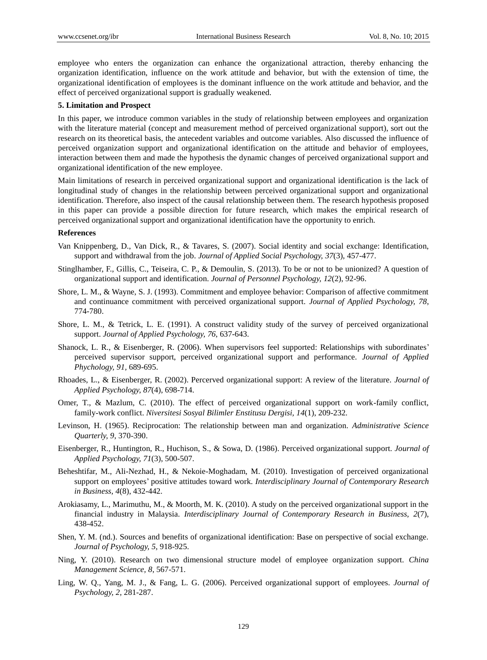employee who enters the organization can enhance the organizational attraction, thereby enhancing the organization identification, influence on the work attitude and behavior, but with the extension of time, the organizational identification of employees is the dominant influence on the work attitude and behavior, and the effect of perceived organizational support is gradually weakened.

#### **5. Limitation and Prospect**

In this paper, we introduce common variables in the study of relationship between employees and organization with the literature material (concept and measurement method of perceived organizational support), sort out the research on its theoretical basis, the antecedent variables and outcome variables. Also discussed the influence of perceived organization support and organizational identification on the attitude and behavior of employees, interaction between them and made the hypothesis the dynamic changes of perceived organizational support and organizational identification of the new employee.

Main limitations of research in perceived organizational support and organizational identification is the lack of longitudinal study of changes in the relationship between perceived organizational support and organizational identification. Therefore, also inspect of the causal relationship between them. The research hypothesis proposed in this paper can provide a possible direction for future research, which makes the empirical research of perceived organizational support and organizational identification have the opportunity to enrich.

## **References**

- Van Knippenberg, D., Van Dick, R., & Tavares, S. (2007). Social identity and social exchange: Identification, support and withdrawal from the job. *Journal of Applied Social Psychology, 37*(3), 457-477.
- Stinglhamber, F., Gillis, C., Teiseira, C. P., & Demoulin, S. (2013). To be or not to be unionized? A question of organizational support and identification. *Journal of Personnel Psychology, 12*(2), 92-96.
- Shore, L. M., & Wayne, S. J. (1993). Commitment and employee behavior: Comparison of affective commitment and continuance commitment with perceived organizational support. *Journal of Applied Psychology, 78*, 774-780.
- Shore, L. M., & Tetrick, L. E. (1991). A construct validity study of the survey of perceived organizational support. *Journal of Applied Psychology, 76*, 637-643.
- Shanock, L. R., & Eisenberger, R. (2006). When supervisors feel supported: Relationships with subordinates' perceived supervisor support, perceived organizational support and performance. *Journal of Applied Phychology, 91,* 689-695.
- Rhoades, L., & Eisenberger, R. (2002). Percerved organizational support: A review of the literature. *Journal of Applied Psychology, 87*(4), 698-714.
- Omer, T., & Mazlum, C. (2010). The effect of perceived organizational support on work-family conflict, family-work conflict. *Niversitesi Sosyal Bilimler Enstitusu Dergisi, 14*(1), 209-232.
- Levinson, H. (1965). Reciprocation: The relationship between man and organization. *Administrative Science Quarterly, 9*, 370-390.
- Eisenberger, R., Huntington, R., Huchison, S., & Sowa, D. (1986). Perceived organizational support. *Journal of Applied Psychology, 71*(3), 500-507.
- Beheshtifar, M., Ali-Nezhad, H., & Nekoie-Moghadam, M. (2010). Investigation of perceived organizational support on employees' positive attitudes toward work. *Interdisciplinary Journal of Contemporary Research in Business, 4*(8), 432-442.
- Arokiasamy, L., Marimuthu, M., & Moorth, M. K. (2010). A study on the perceived organizational support in the financial industry in Malaysia. *Interdisciplinary Journal of Contemporary Research in Business, 2*(7), 438-452.
- Shen, Y. M. (nd.). Sources and benefits of organizational identification: Base on perspective of social exchange. *Journal of Psychology, 5*, 918-925.
- Ning, Y. (2010). Research on two dimensional structure model of employee organization support. *China Management Science, 8*, 567-571.
- Ling, W. Q., Yang, M. J., & Fang, L. G. (2006). Perceived organizational support of employees. *Journal of Psychology, 2,* 281-287.